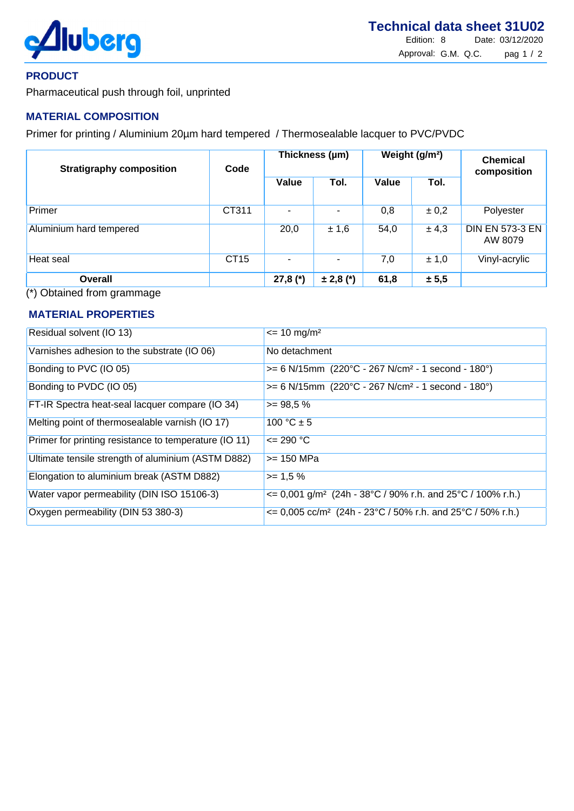

## **PRODUCT**

Pharmaceutical push through foil, unprinted

# **MATERIAL COMPOSITION**

Primer for printing / Aluminium 20µm hard tempered / Thermosealable lacquer to PVC/PVDC

| <b>Stratigraphy composition</b> | Code        | Thickness (µm) |               | Weight (g/m <sup>2</sup> ) |           | <b>Chemical</b><br>composition    |
|---------------------------------|-------------|----------------|---------------|----------------------------|-----------|-----------------------------------|
|                                 |             | Value          | Tol.          | Value                      | Tol.      |                                   |
| Primer                          | CT311       |                |               | 0,8                        | $\pm 0.2$ | Polyester                         |
| Aluminium hard tempered         |             | 20,0           | ± 1,6         | 54,0                       | ± 4,3     | <b>DIN EN 573-3 EN</b><br>AW 8079 |
| Heat seal                       | <b>CT15</b> |                |               | 7,0                        | ± 1,0     | Vinyl-acrylic                     |
| <b>Overall</b>                  |             | $27,8 (*)$     | $\pm 2,8$ (*) | 61,8                       | ± 5,5     |                                   |

(\*) Obtained from grammage

### **MATERIAL PROPERTIES**

| Residual solvent (IO 13)                              | $\epsilon$ = 10 mg/m <sup>2</sup>                                                |
|-------------------------------------------------------|----------------------------------------------------------------------------------|
| Varnishes adhesion to the substrate (IO 06)           | No detachment                                                                    |
| Bonding to PVC (IO 05)                                | $>= 6$ N/15mm (220°C - 267 N/cm <sup>2</sup> - 1 second - 180°)                  |
| Bonding to PVDC (IO 05)                               | $>= 6$ N/15mm (220°C - 267 N/cm <sup>2</sup> - 1 second - 180°)                  |
| FT-IR Spectra heat-seal lacquer compare (IO 34)       | $\overline{5}$ = 98,5 %                                                          |
| Melting point of thermosealable varnish (IO 17)       | 100 $°C \pm 5$                                                                   |
| Primer for printing resistance to temperature (IO 11) | $\leq$ 290 °C                                                                    |
| Ultimate tensile strength of aluminium (ASTM D882)    | $>= 150$ MPa                                                                     |
| Elongation to aluminium break (ASTM D882)             | $>= 1.5 %$                                                                       |
| Water vapor permeability (DIN ISO 15106-3)            | $\epsilon$ = 0,001 g/m <sup>2</sup> (24h - 38°C / 90% r.h. and 25°C / 100% r.h.) |
| Oxygen permeability (DIN 53 380-3)                    | $\epsilon$ = 0,005 cc/m <sup>2</sup> (24h - 23°C / 50% r.h. and 25°C / 50% r.h.) |